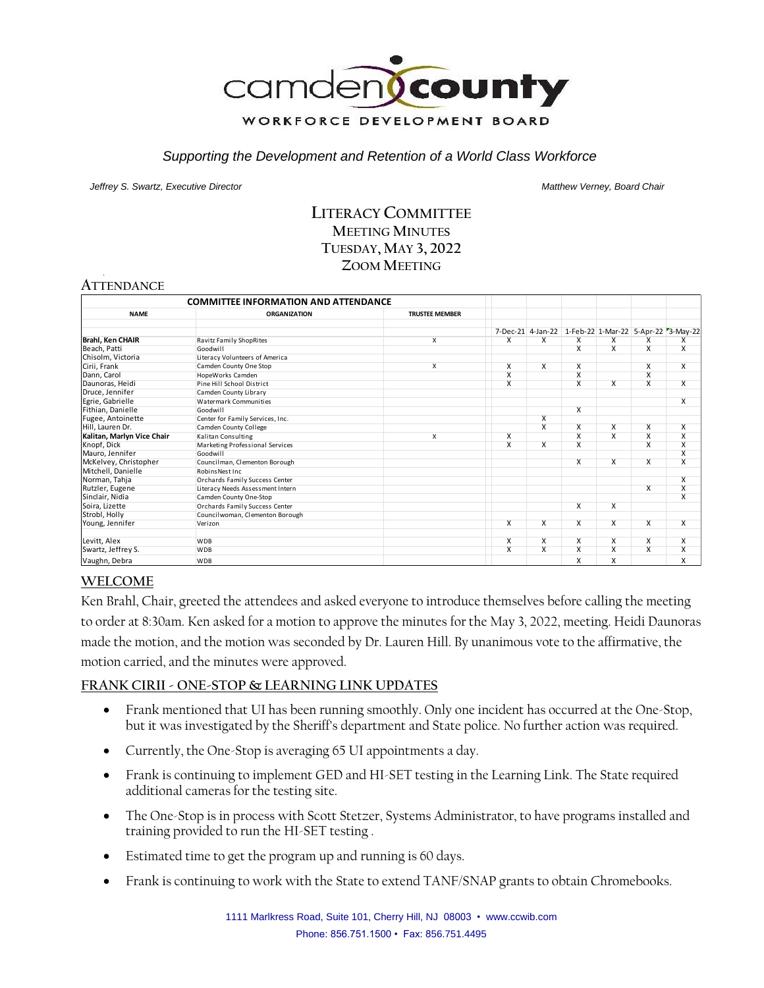

#### *Supporting the Development and Retention of a World Class Workforce*

*Jeffrey S. Swartz, Executive Director Matthew Verney, Board Chair* 

# **LITERACY COMMITTEE MEETING MINUTES TUESDAY, MAY 3, 2022 ZOOM MEETING**

# **ATTENDANCE**

| <b>COMMITTEE INFORMATION AND ATTENDANCE</b> |                                  |                         |                         |                         |                         |                         |                         |                                                        |
|---------------------------------------------|----------------------------------|-------------------------|-------------------------|-------------------------|-------------------------|-------------------------|-------------------------|--------------------------------------------------------|
| <b>NAME</b>                                 | <b>ORGANIZATION</b>              | <b>TRUSTEE MEMBER</b>   |                         |                         |                         |                         |                         |                                                        |
|                                             |                                  |                         |                         |                         |                         |                         |                         |                                                        |
|                                             |                                  |                         |                         |                         |                         |                         |                         | 7-Dec-21 4-Jan-22 1-Feb-22 1-Mar-22 5-Apr-22 73-May-22 |
| <b>Brahl, Ken CHAIR</b>                     | Ravitz Family ShopRites          | X                       | X                       | X                       | X                       | x                       | X                       | X                                                      |
| Beach, Patti                                | Goodwill                         |                         |                         |                         | $\overline{\mathsf{x}}$ | X                       | $\overline{\mathsf{x}}$ | $\overline{\mathsf{x}}$                                |
| Chisolm, Victoria                           | Literacy Volunteers of America   |                         |                         |                         |                         |                         |                         |                                                        |
| Cirii, Frank                                | Camden County One Stop           | $\overline{\mathsf{x}}$ | $\overline{\mathsf{x}}$ | $\overline{X}$          | X                       |                         | $\overline{\mathsf{x}}$ | $\overline{\mathsf{x}}$                                |
| Dann, Carol                                 | HopeWorks Camden                 |                         | $\overline{\mathsf{x}}$ |                         | X                       |                         | $\overline{\mathsf{x}}$ |                                                        |
| Daunoras, Heidi                             | Pine Hill School District        |                         | X                       |                         | X                       | X                       | $\overline{\mathsf{x}}$ | X                                                      |
| Druce, Jennifer                             | Camden County Library            |                         |                         |                         |                         |                         |                         |                                                        |
| Egrie, Gabrielle                            | Watermark Communities            |                         |                         |                         |                         |                         |                         | $\overline{\mathsf{x}}$                                |
| Fithian, Danielle                           | Goodwill                         |                         |                         |                         | $\overline{\mathsf{x}}$ |                         |                         |                                                        |
| Fugee, Antoinette                           | Center for Family Services, Inc. |                         |                         | $\overline{X}$          |                         |                         |                         |                                                        |
| Hill, Lauren Dr.                            | Camden County College            |                         |                         | $\overline{\mathsf{x}}$ | x                       | X                       | $\overline{X}$          | $\overline{\mathsf{x}}$                                |
| Kalitan, Marlyn Vice Chair                  | Kalitan Consulting               | $\overline{\mathsf{x}}$ | $\overline{\mathsf{x}}$ |                         | $\overline{\mathsf{x}}$ | $\overline{\mathsf{x}}$ | $\overline{\mathsf{x}}$ | $\overline{\mathsf{x}}$                                |
| Knopf, Dick                                 | Marketing Professional Services  |                         | $\overline{\mathsf{x}}$ | $\overline{X}$          | X                       |                         | $\overline{\mathsf{x}}$ | $\overline{\mathsf{x}}$                                |
| Mauro, Jennifer                             | Goodwill                         |                         |                         |                         |                         |                         |                         | $\overline{\mathsf{x}}$                                |
| McKelvey, Christopher                       | Councilman, Clementon Borough    |                         |                         |                         | X                       | $\overline{\mathsf{x}}$ | $\overline{\mathsf{x}}$ | $\overline{\mathsf{x}}$                                |
| Mitchell, Danielle                          | Robins Nest Inc.                 |                         |                         |                         |                         |                         |                         |                                                        |
| Norman, Tahja                               | Orchards Family Success Center   |                         |                         |                         |                         |                         |                         | $\overline{\mathsf{x}}$                                |
| Rutzler, Eugene                             | Literacy Needs Assessment Intern |                         |                         |                         |                         |                         | X                       | $\overline{\mathsf{x}}$                                |
| Sinclair, Nidia                             | Camden County One-Stop           |                         |                         |                         |                         |                         |                         | $\overline{\mathsf{x}}$                                |
| Soira, Lizette                              | Orchards Family Success Center   |                         |                         |                         | $\overline{\mathsf{x}}$ | $\overline{X}$          |                         |                                                        |
| Strobl, Holly                               | Councilwoman, Clementon Borough  |                         |                         |                         |                         |                         |                         |                                                        |
| Young, Jennifer                             | Verizon                          |                         | $\overline{\mathsf{x}}$ | $\overline{\mathsf{x}}$ | X                       | X                       | $\overline{\mathsf{x}}$ | $\overline{\mathsf{x}}$                                |
| Levitt, Alex                                | <b>WDB</b>                       |                         | X                       | X                       | X                       | X                       | X                       | X                                                      |
| Swartz, Jeffrey S.                          | <b>WDB</b>                       |                         | $\overline{\mathsf{x}}$ | $\overline{\mathsf{x}}$ | X                       | X                       | $\overline{\mathsf{x}}$ | $\overline{\mathsf{x}}$                                |
| Vaughn, Debra                               | <b>WDB</b>                       |                         |                         |                         | x                       | x                       |                         | X                                                      |

# **WELCOME**

Ken Brahl, Chair, greeted the attendees and asked everyone to introduce themselves before calling the meeting to order at 8:30am. Ken asked for a motion to approve the minutes for the May 3, 2022, meeting. Heidi Daunoras made the motion, and the motion was seconded by Dr. Lauren Hill. By unanimous vote to the affirmative, the motion carried, and the minutes were approved.

#### **FRANK CIRII - ONE-STOP & LEARNING LINK UPDATES**

- Frank mentioned that UI has been running smoothly. Only one incident has occurred at the One-Stop, but it was investigated by the Sheriff's department and State police. No further action was required.
- Currently, the One-Stop is averaging 65 UI appointments a day.
- Frank is continuing to implement GED and HI-SET testing in the Learning Link. The State required additional cameras for the testing site.
- The One-Stop is in process with Scott Stetzer, Systems Administrator, to have programs installed and training provided to run the HI-SET testing .
- Estimated time to get the program up and running is 60 days.
- Frank is continuing to work with the State to extend TANF/SNAP grants to obtain Chromebooks.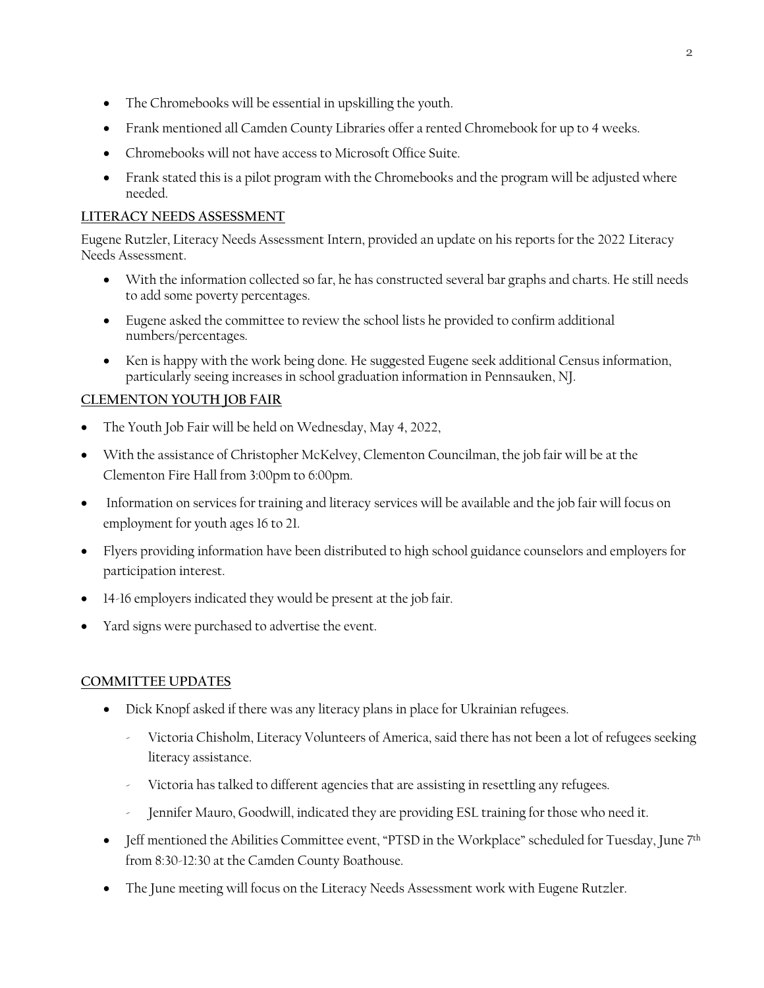- The Chromebooks will be essential in upskilling the youth.
- Frank mentioned all Camden County Libraries offer a rented Chromebook for up to 4 weeks.
- Chromebooks will not have access to Microsoft Office Suite.
- Frank stated this is a pilot program with the Chromebooks and the program will be adjusted where needed.

### **LITERACY NEEDS ASSESSMENT**

Eugene Rutzler, Literacy Needs Assessment Intern, provided an update on his reports for the 2022 Literacy Needs Assessment.

- With the information collected so far, he has constructed several bar graphs and charts. He still needs to add some poverty percentages.
- Eugene asked the committee to review the school lists he provided to confirm additional numbers/percentages.
- Ken is happy with the work being done. He suggested Eugene seek additional Census information, particularly seeing increases in school graduation information in Pennsauken, NJ.

# **CLEMENTON YOUTH JOB FAIR**

- The Youth Job Fair will be held on Wednesday, May 4, 2022,
- With the assistance of Christopher McKelvey, Clementon Councilman, the job fair will be at the Clementon Fire Hall from 3:00pm to 6:00pm.
- Information on services for training and literacy services will be available and the job fair will focus on employment for youth ages 16 to 21.
- Flyers providing information have been distributed to high school guidance counselors and employers for participation interest.
- 14-16 employers indicated they would be present at the job fair.
- Yard signs were purchased to advertise the event.

#### **COMMITTEE UPDATES**

- Dick Knopf asked if there was any literacy plans in place for Ukrainian refugees.
	- Victoria Chisholm, Literacy Volunteers of America, said there has not been a lot of refugees seeking literacy assistance.
	- Victoria has talked to different agencies that are assisting in resettling any refugees.
	- Jennifer Mauro, Goodwill, indicated they are providing ESL training for those who need it.
- Jeff mentioned the Abilities Committee event, "PTSD in the Workplace" scheduled for Tuesday, June 7<sup>th</sup> from 8:30-12:30 at the Camden County Boathouse.
- The June meeting will focus on the Literacy Needs Assessment work with Eugene Rutzler.